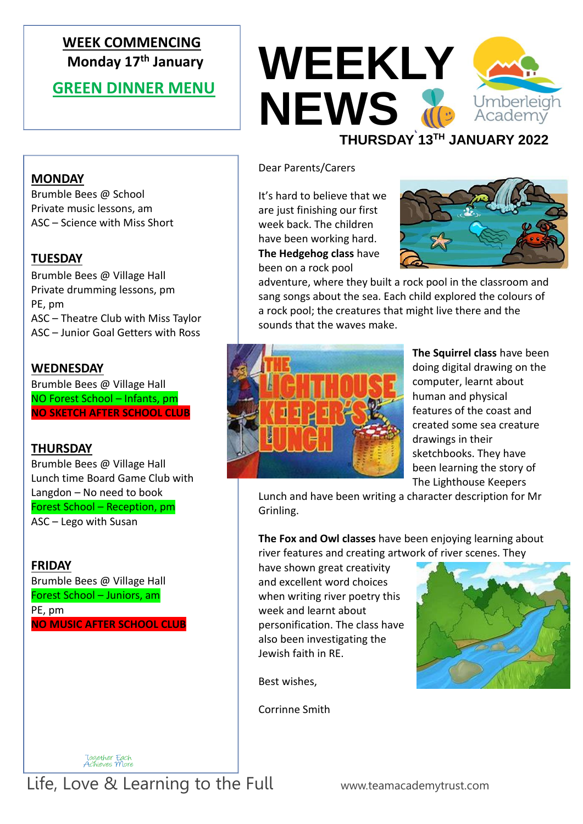### **WEEK COMMENCING Monday 17 th January**

#### **GREEN DINNER MENU**

**MONDAY**

**TUESDAY**

**WEDNESDAY**

**THURSDAY** 

**FRIDAY** 

PE, pm

PE, pm

Brumble Bees @ School Private music lessons, am ASC – Science with Miss Short

Brumble Bees @ Village Hall Private drumming lessons, pm

Brumble Bees @ Village Hall NO Forest School – Infants, pm **NO SKETCH AFTER SCHOOL CLUB**

Brumble Bees @ Village Hall Lunch time Board Game Club with

Langdon – No need to book Forest School – Reception, pm

Brumble Bees @ Village Hall Forest School – Juniors, am

**NO MUSIC AFTER SCHOOL CLUB**

ASC – Lego with Susan

ASC – Theatre Club with Miss Taylor ASC – Junior Goal Getters with Ross



#### Dear Parents/Carers

It's hard to believe that we are just finishing our first week back. The children have been working hard. **The Hedgehog class** have been on a rock pool



adventure, where they built a rock pool in the classroom and sang songs about the sea. Each child explored the colours of a rock pool; the creatures that might live there and the sounds that the waves make.



**The Squirrel class** have been doing digital drawing on the computer, learnt about human and physical features of the coast and created some sea creature drawings in their sketchbooks. They have been learning the story of The Lighthouse Keepers

Lunch and have been writing a character description for Mr Grinling.

**The Fox and Owl classes** have been enjoying learning about river features and creating artwork of river scenes. They

have shown great creativity and excellent word choices when writing river poetry this week and learnt about personification. The class have also been investigating the Jewish faith in RE.

Best wishes,

Corrinne Smith

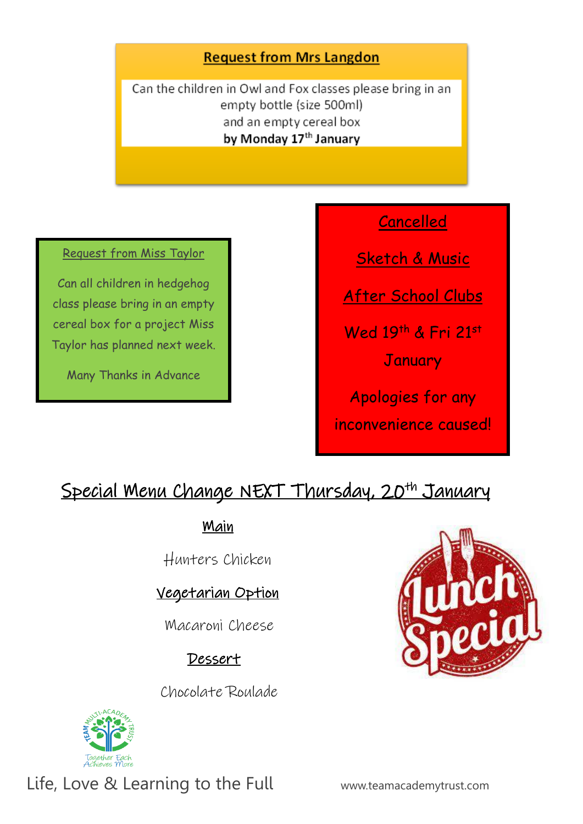#### **Request from Mrs Langdon**

Can the children in Owl and Fox classes please bring in an empty bottle (size 500ml) and an empty cereal box by Monday 17th January

#### Request from Miss Taylor

Can all children in hedgehog class please bring in an empty cereal box for a project Miss Taylor has planned next week.

Many Thanks in Advance

### Cancelled

Sketch & Music

After School Clubs

Wed 19th & Fri 21st

**January** 

Apologies for any inconvenience caused!

# Special Menu Change NEXT Thursday, 20<sup>th</sup> January

Main

Hunters Chicken

### Vegetarian Option

Macaroni Cheese

### Dessert

Chocolate Roulade



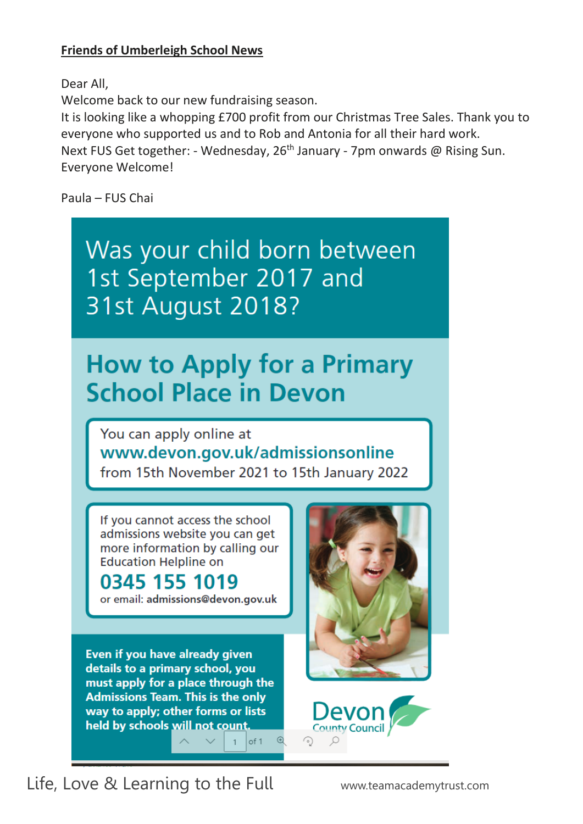#### **Friends of Umberleigh School News**

Dear All,

Welcome back to our new fundraising season.

It is looking like a whopping £700 profit from our Christmas Tree Sales. Thank you to everyone who supported us and to Rob and Antonia for all their hard work. Next FUS Get together: - Wednesday, 26<sup>th</sup> January - 7pm onwards @ Rising Sun. Everyone Welcome!

Paula – FUS Chai

Was your child born between 1st September 2017 and **31st August 2018?** 

# **How to Apply for a Primary School Place in Devon**

You can apply online at www.devon.gov.uk/admissionsonline from 15th November 2021 to 15th January 2022

of 1

If you cannot access the school admissions website you can get more information by calling our **Education Helpline on** 

# 0345 155 1019

or email: admissions@devon.gov.uk

Even if you have already given details to a primary school, you must apply for a place through the **Admissions Team. This is the only** way to apply; other forms or lists held by schools will not count



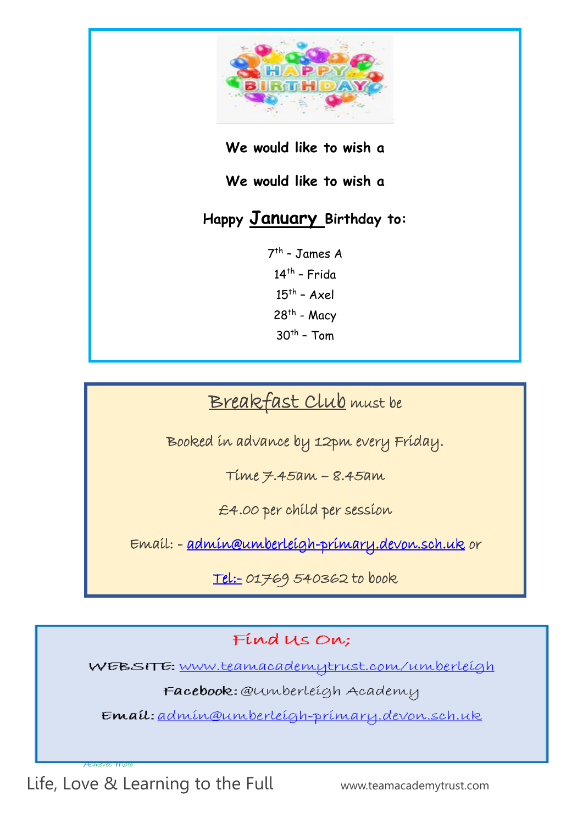

#### **We would like to wish a**

**We would like to wish a** 

## **Happy January Birthday to:**

7 th – James A 14<sup>th</sup> - Frida  $15<sup>th</sup>$  - Axel 28<sup>th</sup> - Macy  $30<sup>th</sup>$  – Tom

# Breakfast Club must be

Booked in advance by 12pm every Friday.

Time 7.45am – 8.45am

£4.00 per child per session

Email: - [admin@umberleigh-primary.devon.sch.uk](mailto:admin@umberleigh-primary.devon.sch.uk) or

[Tel:-](tel:-) 01769 540362 to book

Find Us On:

WEBSITE: www.teamacademytrust.com/umberleigh

Facebook: @umberleigh Academy

Email: admin@umberleigh-primary.devon.sch.uk